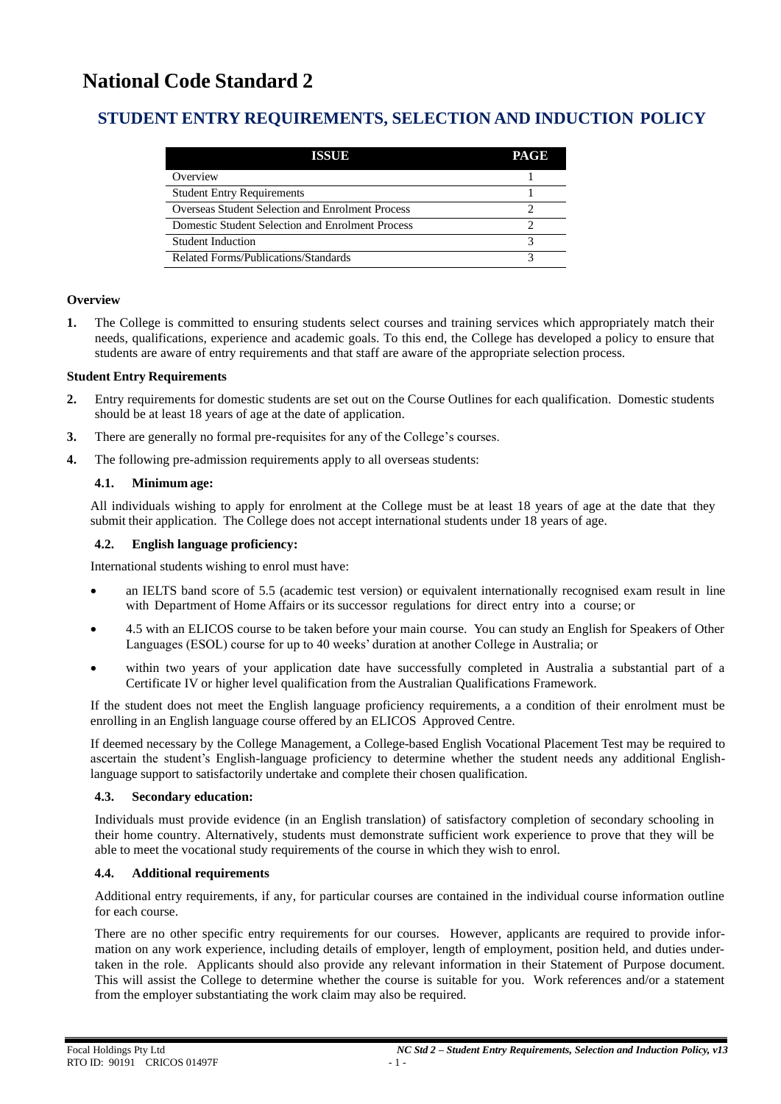# **National Code Standard 2**

# **STUDENT ENTRY REQUIREMENTS, SELECTION AND INDUCTION POLICY**

| IKSUN                                            | PAGE |
|--------------------------------------------------|------|
| Overview                                         |      |
| <b>Student Entry Requirements</b>                |      |
| Overseas Student Selection and Enrolment Process |      |
| Domestic Student Selection and Enrolment Process |      |
| Student Induction                                |      |
| Related Forms/Publications/Standards             |      |

### **Overview**

**1.** The College is committed to ensuring students select courses and training services which appropriately match their needs, qualifications, experience and academic goals. To this end, the College has developed a policy to ensure that students are aware of entry requirements and that staff are aware of the appropriate selection process.

### **Student Entry Requirements**

- **2.** Entry requirements for domestic students are set out on the Course Outlines for each qualification. Domestic students should be at least 18 years of age at the date of application.
- **3.** There are generally no formal pre-requisites for any of the College's courses.
- **4.** The following pre-admission requirements apply to all overseas students:

# **4.1. Minimum age:**

All individuals wishing to apply for enrolment at the College must be at least 18 years of age at the date that they submit their application. The College does not accept international students under 18 years of age.

# **4.2. English language proficiency:**

International students wishing to enrol must have:

- an IELTS band score of 5.5 (academic test version) or equivalent internationally recognised exam result in line with Department of Home Affairs or its successor regulations for direct entry into a course; or
- 4.5 with an ELICOS course to be taken before your main course. You can study an English for Speakers of Other Languages (ESOL) course for up to 40 weeks' duration at another College in Australia; or
- within two years of your application date have successfully completed in Australia a substantial part of a Certificate IV or higher level qualification from the Australian Qualifications Framework.

If the student does not meet the English language proficiency requirements, a a condition of their enrolment must be enrolling in an English language course offered by an ELICOS Approved Centre.

If deemed necessary by the College Management, a College-based English Vocational Placement Test may be required to ascertain the student's English-language proficiency to determine whether the student needs any additional Englishlanguage support to satisfactorily undertake and complete their chosen qualification.

### **4.3. Secondary education:**

Individuals must provide evidence (in an English translation) of satisfactory completion of secondary schooling in their home country. Alternatively, students must demonstrate sufficient work experience to prove that they will be able to meet the vocational study requirements of the course in which they wish to enrol.

# **4.4. Additional requirements**

Additional entry requirements, if any, for particular courses are contained in the individual course information outline for each course.

There are no other specific entry requirements for our courses. However, applicants are required to provide information on any work experience, including details of employer, length of employment, position held, and duties undertaken in the role. Applicants should also provide any relevant information in their Statement of Purpose document. This will assist the College to determine whether the course is suitable for you. Work references and/or a statement from the employer substantiating the work claim may also be required.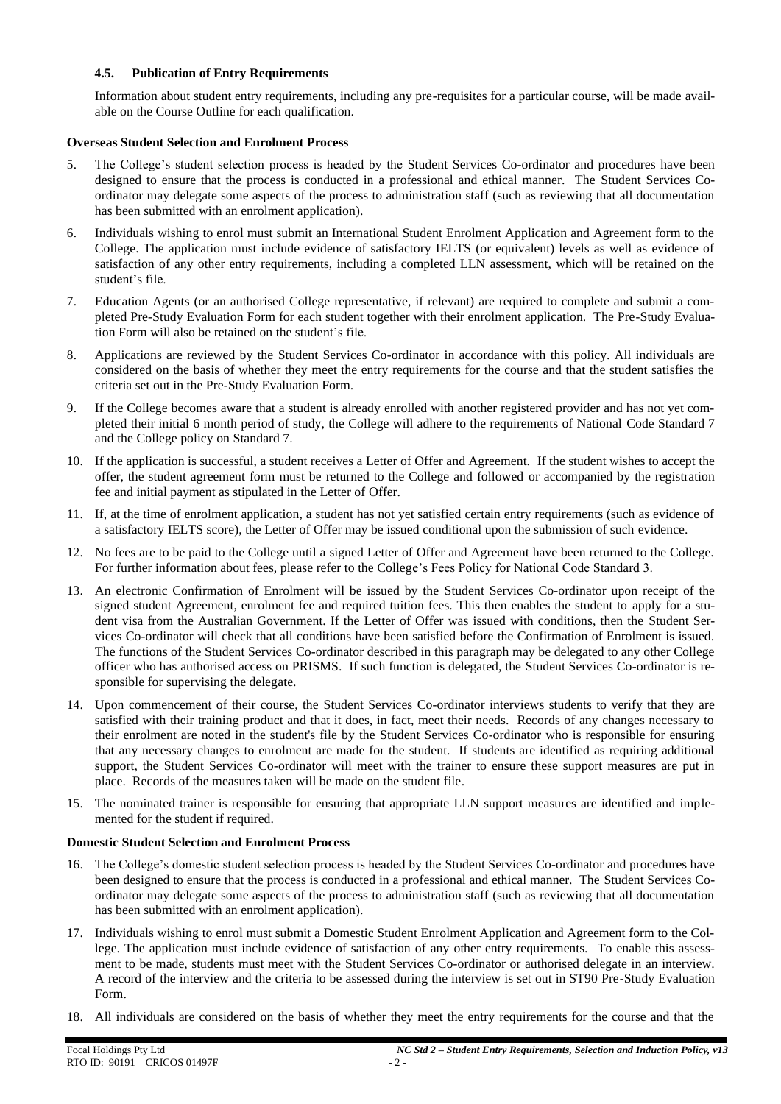# **4.5. Publication of Entry Requirements**

Information about student entry requirements, including any pre-requisites for a particular course, will be made available on the Course Outline for each qualification.

# **Overseas Student Selection and Enrolment Process**

- 5. The College's student selection process is headed by the Student Services Co-ordinator and procedures have been designed to ensure that the process is conducted in a professional and ethical manner. The Student Services Coordinator may delegate some aspects of the process to administration staff (such as reviewing that all documentation has been submitted with an enrolment application).
- 6. Individuals wishing to enrol must submit an International Student Enrolment Application and Agreement form to the College. The application must include evidence of satisfactory IELTS (or equivalent) levels as well as evidence of satisfaction of any other entry requirements, including a completed LLN assessment, which will be retained on the student's file.
- 7. Education Agents (or an authorised College representative, if relevant) are required to complete and submit a completed Pre-Study Evaluation Form for each student together with their enrolment application. The Pre-Study Evaluation Form will also be retained on the student's file.
- 8. Applications are reviewed by the Student Services Co-ordinator in accordance with this policy. All individuals are considered on the basis of whether they meet the entry requirements for the course and that the student satisfies the criteria set out in the Pre-Study Evaluation Form.
- 9. If the College becomes aware that a student is already enrolled with another registered provider and has not yet completed their initial 6 month period of study, the College will adhere to the requirements of National Code Standard 7 and the College policy on Standard 7.
- 10. If the application is successful, a student receives a Letter of Offer and Agreement. If the student wishes to accept the offer, the student agreement form must be returned to the College and followed or accompanied by the registration fee and initial payment as stipulated in the Letter of Offer.
- 11. If, at the time of enrolment application, a student has not yet satisfied certain entry requirements (such as evidence of a satisfactory IELTS score), the Letter of Offer may be issued conditional upon the submission of such evidence.
- 12. No fees are to be paid to the College until a signed Letter of Offer and Agreement have been returned to the College. For further information about fees, please refer to the College's Fees Policy for National Code Standard 3.
- 13. An electronic Confirmation of Enrolment will be issued by the Student Services Co-ordinator upon receipt of the signed student Agreement, enrolment fee and required tuition fees. This then enables the student to apply for a student visa from the Australian Government. If the Letter of Offer was issued with conditions, then the Student Services Co-ordinator will check that all conditions have been satisfied before the Confirmation of Enrolment is issued. The functions of the Student Services Co-ordinator described in this paragraph may be delegated to any other College officer who has authorised access on PRISMS. If such function is delegated, the Student Services Co-ordinator is responsible for supervising the delegate.
- 14. Upon commencement of their course, the Student Services Co-ordinator interviews students to verify that they are satisfied with their training product and that it does, in fact, meet their needs. Records of any changes necessary to their enrolment are noted in the student's file by the Student Services Co-ordinator who is responsible for ensuring that any necessary changes to enrolment are made for the student. If students are identified as requiring additional support, the Student Services Co-ordinator will meet with the trainer to ensure these support measures are put in place. Records of the measures taken will be made on the student file.
- 15. The nominated trainer is responsible for ensuring that appropriate LLN support measures are identified and implemented for the student if required.

### **Domestic Student Selection and Enrolment Process**

- 16. The College's domestic student selection process is headed by the Student Services Co-ordinator and procedures have been designed to ensure that the process is conducted in a professional and ethical manner. The Student Services Coordinator may delegate some aspects of the process to administration staff (such as reviewing that all documentation has been submitted with an enrolment application).
- 17. Individuals wishing to enrol must submit a Domestic Student Enrolment Application and Agreement form to the College. The application must include evidence of satisfaction of any other entry requirements. To enable this assessment to be made, students must meet with the Student Services Co-ordinator or authorised delegate in an interview. A record of the interview and the criteria to be assessed during the interview is set out in ST90 Pre-Study Evaluation Form.
- 18. All individuals are considered on the basis of whether they meet the entry requirements for the course and that the